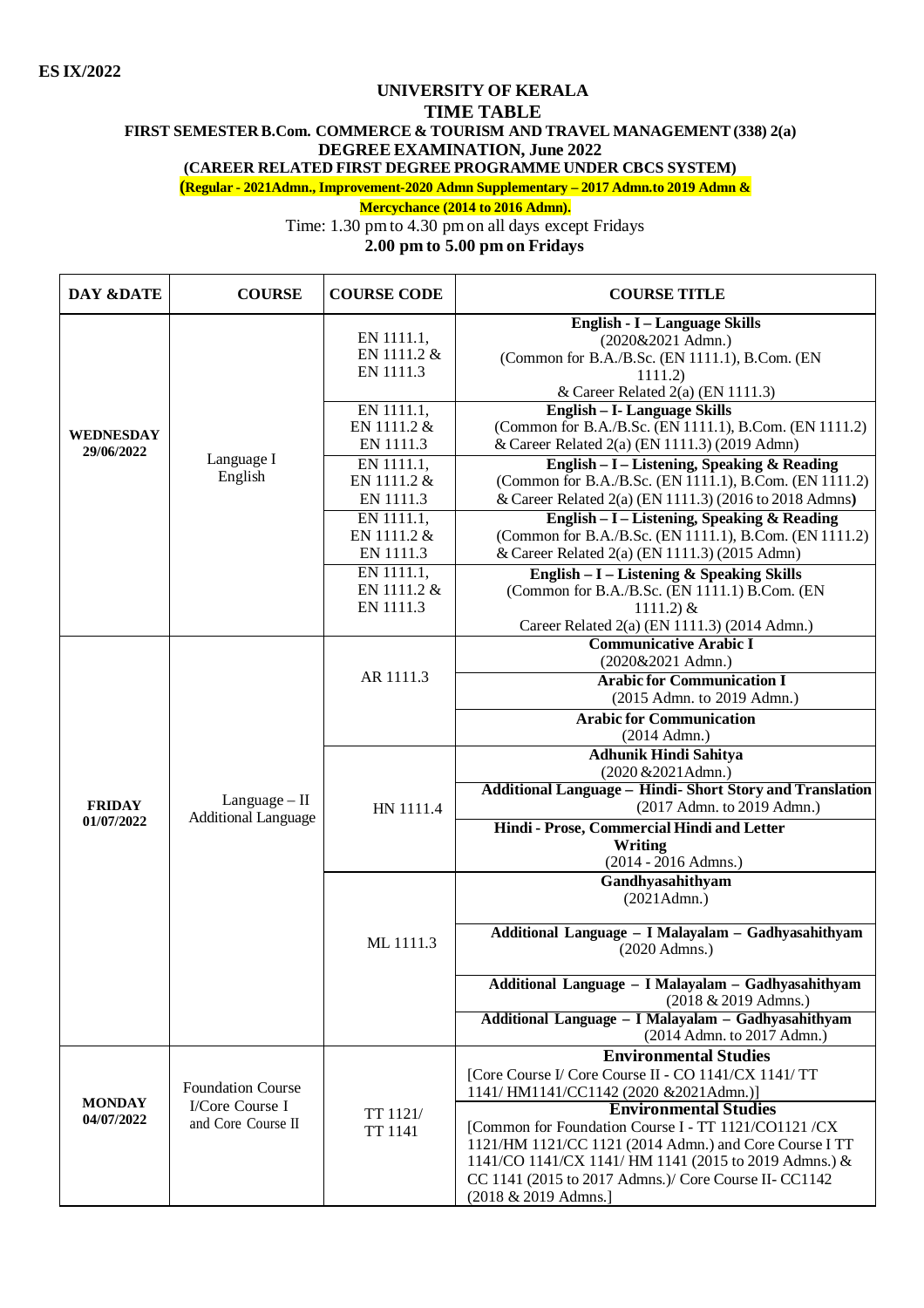## **UNIVERSITY OF KERALA TIME TABLE FIRST SEMESTER B.Com. COMMERCE & TOURISM AND TRAVEL MANAGEMENT(338) 2(a) DEGREE EXAMINATION, June 2022 (CAREER RELATED FIRST DEGREE PROGRAMME UNDER CBCS SYSTEM) (Regular - 2021Admn., Improvement-2020 Admn Supplementary – 2017 Admn.to 2019 Admn & Mercychance (2014 to 2016 Admn).**

Time: 1.30 pm to 4.30 pm on all days except Fridays **2.00 pm to 5.00 pm on Fridays**

| DAY &DATE                      | <b>COURSE</b>                                                     | <b>COURSE CODE</b>                     | <b>COURSE TITLE</b>                                                                                                                                                                                                                                                                      |
|--------------------------------|-------------------------------------------------------------------|----------------------------------------|------------------------------------------------------------------------------------------------------------------------------------------------------------------------------------------------------------------------------------------------------------------------------------------|
| <b>WEDNESDAY</b><br>29/06/2022 | Language I<br>English                                             | EN 1111.1,<br>EN 1111.2 &<br>EN 1111.3 | English - I – Language Skills<br>(2020&2021 Admn.)<br>(Common for B.A./B.Sc. (EN 1111.1), B.Com. (EN<br>1111.2<br>& Career Related 2(a) (EN 1111.3)                                                                                                                                      |
|                                |                                                                   | EN 1111.1,<br>EN 1111.2 &<br>EN 1111.3 | <b>English - I- Language Skills</b><br>(Common for B.A./B.Sc. (EN 1111.1), B.Com. (EN 1111.2)<br>& Career Related 2(a) (EN 1111.3) (2019 Admn)                                                                                                                                           |
|                                |                                                                   | EN 1111.1,<br>EN 1111.2 &<br>EN 1111.3 | English - I - Listening, Speaking & Reading<br>(Common for B.A./B.Sc. (EN 1111.1), B.Com. (EN 1111.2)<br>& Career Related 2(a) (EN 1111.3) (2016 to 2018 Admns)                                                                                                                          |
|                                |                                                                   | EN 1111.1,<br>EN 1111.2 &<br>EN 1111.3 | English - I - Listening, Speaking & Reading<br>(Common for B.A./B.Sc. (EN 1111.1), B.Com. (EN 1111.2)<br>& Career Related 2(a) (EN 1111.3) (2015 Admn)                                                                                                                                   |
|                                |                                                                   | EN 1111.1,<br>EN 1111.2 &<br>EN 1111.3 | English - I - Listening & Speaking Skills<br>(Common for B.A./B.Sc. (EN 1111.1) B.Com. (EN<br>$1111.2$ ) &<br>Career Related 2(a) (EN 1111.3) (2014 Admn.)                                                                                                                               |
| <b>FRIDAY</b><br>01/07/2022    | $Language - II$<br><b>Additional Language</b>                     | AR 1111.3                              | <b>Communicative Arabic I</b><br>(2020&2021 Admn.)                                                                                                                                                                                                                                       |
|                                |                                                                   |                                        | <b>Arabic for Communication I</b><br>(2015 Admn. to 2019 Admn.)                                                                                                                                                                                                                          |
|                                |                                                                   |                                        | <b>Arabic for Communication</b><br>$(2014$ Admn.)                                                                                                                                                                                                                                        |
|                                |                                                                   | HN 1111.4                              | <b>Adhunik Hindi Sahitya</b><br>(2020 & 2021 Admn.)<br><b>Additional Language - Hindi-Short Story and Translation</b>                                                                                                                                                                    |
|                                |                                                                   |                                        | (2017 Admn. to 2019 Admn.)<br>Hindi - Prose, Commercial Hindi and Letter<br>Writing<br>(2014 - 2016 Admns.)                                                                                                                                                                              |
|                                |                                                                   | ML 1111.3                              | Gandhyasahithyam<br>$(2021$ Admn.)                                                                                                                                                                                                                                                       |
|                                |                                                                   |                                        | Additional Language - I Malayalam - Gadhyasahithyam<br>(2020 Admns.)                                                                                                                                                                                                                     |
|                                |                                                                   |                                        | Additional Language - I Malayalam - Gadhyasahithyam<br>(2018 & 2019 Admns.)                                                                                                                                                                                                              |
|                                |                                                                   |                                        | Additional Language - I Malayalam - Gadhyasahithyam<br>(2014 Admn. to 2017 Admn.)                                                                                                                                                                                                        |
| <b>MONDAY</b><br>04/07/2022    | <b>Foundation Course</b><br>I/Core Course I<br>and Core Course II | TT 1121/<br><b>TT 1141</b>             | <b>Environmental Studies</b><br>[Core Course I/ Core Course II - CO 1141/CX 1141/ TT<br>1141/ HM1141/CC1142 (2020 & 2021 Admn.)]                                                                                                                                                         |
|                                |                                                                   |                                        | <b>Environmental Studies</b><br>[Common for Foundation Course I - TT 1121/CO1121 /CX<br>1121/HM 1121/CC 1121 (2014 Admn.) and Core Course I TT<br>1141/CO 1141/CX 1141/ HM 1141 (2015 to 2019 Admns.) &<br>CC 1141 (2015 to 2017 Admns.)/ Core Course II- CC1142<br>(2018 & 2019 Admns.] |